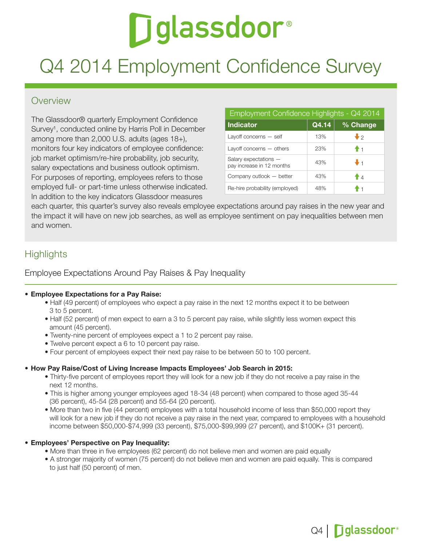# **Diglassdoor**®

# Q4 2014 Employment Confidence Survey

# Overview

The Glassdoor® quarterly Employment Confidence Survey<sup>1</sup>, conducted online by Harris Poll in December among more than 2,000 U.S. adults (ages 18+), monitors four key indicators of employee confidence: job market optimism/re-hire probability, job security, salary expectations and business outlook optimism. For purposes of reporting, employees refers to those employed full- or part-time unless otherwise indicated. In addition to the key indicators Glassdoor measures

| Employment Confidence Highlights - Q4 2014         |       |                |  |  |  |  |
|----------------------------------------------------|-------|----------------|--|--|--|--|
| Indicator                                          | Q4.14 | % Change       |  |  |  |  |
| Layoff concerns $-$ self                           | 13%   | $\bullet$      |  |  |  |  |
| Layoff concerns - others                           | 23%   | $\ddagger$ 1   |  |  |  |  |
| Salary expectations -<br>pay increase in 12 months | 43%   | $\mathbf{J}_1$ |  |  |  |  |
| Company outlook - better                           | 43%   | A              |  |  |  |  |
| Re-hire probability (employed)                     | 48%   | - 1            |  |  |  |  |

each quarter, this quarter's survey also reveals employee expectations around pay raises in the new year and the impact it will have on new job searches, as well as employee sentiment on pay inequalities between men and women.

# **Highlights**

#### Employee Expectations Around Pay Raises & Pay Inequality

#### **• Employee Expectations for a Pay Raise:**

- Half (49 percent) of employees who expect a pay raise in the next 12 months expect it to be between 3 to 5 percent.
- Half (52 percent) of men expect to earn a 3 to 5 percent pay raise, while slightly less women expect this amount (45 percent).
- Twenty-nine percent of employees expect a 1 to 2 percent pay raise.
- Twelve percent expect a 6 to 10 percent pay raise.
- Four percent of employees expect their next pay raise to be between 50 to 100 percent.

#### • How Pay Raise/Cost of Living Increase Impacts Employees' Job Search in 2015:

- Thirty-five percent of employees report they will look for a new job if they do not receive a pay raise in the next 12 months.
- This is higher among younger employees aged 18-34 (48 percent) when compared to those aged 35-44 (36 percent), 45-54 (28 percent) and 55-64 (20 percent).
- More than two in five (44 percent) employees with a total household income of less than \$50,000 report they will look for a new job if they do not receive a pay raise in the next year, compared to employees with a household income between \$50,000-\$74,999 (33 percent), \$75,000-\$99,999 (27 percent), and \$100K+ (31 percent).

#### • Employees' Perspective on Pay Inequality:

- More than three in five employees (62 percent) do not believe men and women are paid equally
- A stronger majority of women (75 percent) do not believe men and women are paid equally. This is compared to just half (50 percent) of men.

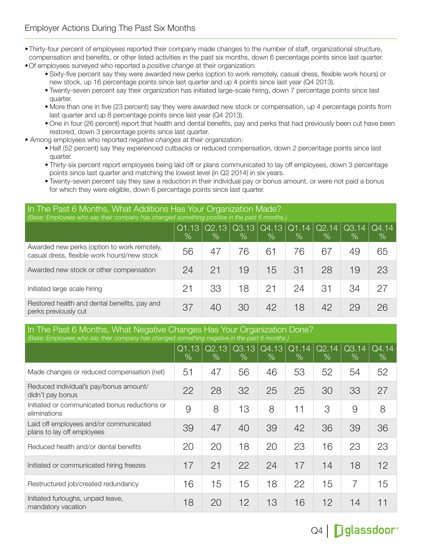•Thirty-four percent of employees reported their company made changes to the number of staff, organizational structure, compensation and benefits, or other listed activities in the past six months, down 6 percentage points since last quarter.

•Of employees surveyed who reported a *positive change* at their organization:

- Sixty-five percent say they were awarded new perks (option to work remotely, casual dress, flexible work hours) or new stock, up 16 percentage points since last quarter and up 4 points since last year (Q4 2013).
- Twenty-seven percent say their organization has initiated large-scale hiring, down 7 percentage points since last quarter.
- More than one in five (23 percent) say they were awarded new stock or compensation, up 4 percentage points from last quarter and up 8 percentage points since last year (Q4 2013).
- One in four (26 percent) report that health and dental benefits, pay and perks that had previously been cut have been restored, down 3 percentage points since last quarter.
- Among employees who reported *negative changes* at their organization:
	- Half (52 percent) say they experienced cutbacks or reduced compensation, down 2 percentage points since last quarter.
	- Thirty-six percent report employees being laid off or plans communicated to lay off employees, down 3 percentage points since last quarter and matching the lowest level (in Q2 2014) in six years.
	- Twenty-seven percent say they saw a reduction in their individual pay or bonus amount, or were not paid a bonus for which they were eligible, down 6 percentage points since last quarter.

In The Past 6 Months, What Additions Has Your Organization Made? *(Base: Employees who say their company has changed something positive in the past 6 months.)*

| <u>race, Employado milo day allon dompany nao dilanged domoanig podare in allopado dinamo</u> |                                     |                        |                          |                                           |      |            |                                           |               |
|-----------------------------------------------------------------------------------------------|-------------------------------------|------------------------|--------------------------|-------------------------------------------|------|------------|-------------------------------------------|---------------|
|                                                                                               | $\overline{\text{Q1}}$ .13'<br>$\%$ | $\sqrt{Q}$ .13<br>$\%$ | Q3.13<br>$\overline{\%}$ | $ $ Q4.13 $ $ Q1.14 $ $ Q2.14 $ $<br>$\%$ | $\%$ | $\sqrt{6}$ | $\vert$ Q3.14 $\vert$ Q4.14<br>$\sqrt{6}$ | $\frac{1}{2}$ |
| Awarded new perks (option to work remotely,<br>casual dress, flexible work hours)/new stock   | 56                                  | 47                     | 76                       | 61                                        | 76   | 67         | 49                                        | 65            |
| Awarded new stock or other compensation                                                       | 24                                  | 21                     | 19                       | 15                                        | 31   | 28         | 19                                        | 23            |
| Initiated large scale hiring                                                                  | 21                                  | 33                     | 18                       | 21                                        | 24   | 31         | 34                                        | 27            |
| Restored health and dental benefits, pay and<br>perks previously cut                          | 37                                  | 40                     | 30                       | 42                                        | 18   | 42         | 29                                        | 26            |

#### In The Past 6 Months, What Negative Changes Has Your Organization Done? *(Base: Employees who say their company has changed something negative in the past 6 months.)*

|                                                                      | Q1.13<br>$\%$ | Q2.13<br>$\%$ | Q3.13<br>$\%$ | Q4.13<br>$\%$ | Q1.14<br>$\%$ | Q2.14<br>$\%$ | Q3.14<br>$\%$ | Q4.14<br>$\%$ |
|----------------------------------------------------------------------|---------------|---------------|---------------|---------------|---------------|---------------|---------------|---------------|
| Made changes or reduced compensation (net)                           | 51            | 47            | 56            | 46            | 53            | 52            | 54            | 52            |
| Reduced individual's pay/bonus amount/<br>didn't pay bonus           | 22            | 28            | 32            | 25            | 25            | 30            | 33            | 27            |
| Initiated or communicated bonus reductions or<br>eliminations        | 9             | 8             | 13            | 8             | 11            | 3             | 9             | 8             |
| Laid off employees and/or communicated<br>plans to lay off employees | 39            | 47            | 40            | 39            | 42            | 36            | 39            | 36            |
| Reduced health and/or dental benefits                                | 20            | 20            | 18            | 20            | 23            | 16            | 23            | 23            |
| Initiated or communicated hiring freezes                             | 17            | 21            | 22            | 24            | 17            | 14            | 18            | 12            |
| Restructured job/created redundancy                                  | 16            | 15            | 15            | 18            | 22            | 15            | 7             | 15            |
| Initiated furloughs, unpaid leave,<br>mandatory vacation             | 18            | 20            | 12            | 13            | 16            | 12            | 14            | 11            |

# Q4 | Dglassdoor®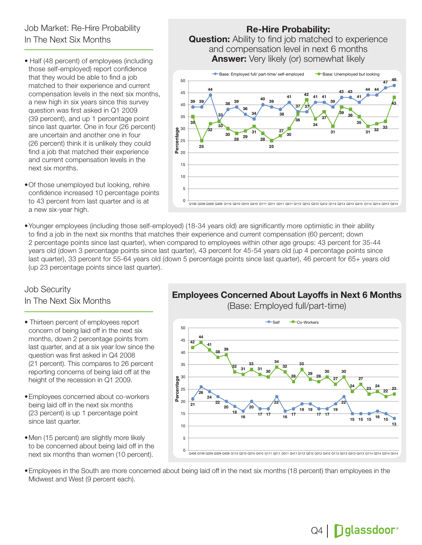# Job Market: Re-Hire Probability In The Next Six Months

- Half (48 percent) of employees (including those self-employed) report confidence that they would be able to find a job matched to their experience and current compensation levels in the next six months, a new high in six years since this survey question was first asked in Q1 2009 (39 percent), and up 1 percentage point since last quarter. One in four (26 percent) are uncertain and another one in four (26 percent) think it is unlikely they could find a job that matched their experience and current compensation levels in the next six months.
- •Of those unemployed but looking, rehire confidence increased 10 percentage points to 43 percent from last quarter and is at a new six-year high.

#### Re-Hire Probability:

and compensation level in next 6 months  $Q(1)$ Answer: Very likely (or) somewhat likely **Question:** Ability to find job matched to experience



•Younger employees (including those self-employed) (18-34 years old) are significantly more optimistic in their ability to find a job in the next six months that matches their experience and current compensation (60 percent; down 2 percentage points since last quarter), when compared to employees within other age groups: 43 percent for 35-44 years old (down 3 percentage points since last quarter), 43 percent for 45-54 years old (up 4 percentage points since last quarter), 33 percent for 55-64 years old (down 5 percentage points since last quarter), 46 percent for 65+ years old (up 23 percentage points since last quarter).

#### Job Security In The Next Six Months

- Thirteen percent of employees report concern of being laid off in the next six months, down 2 percentage points from last quarter, and at a six year low since the question was first asked in Q4 2008 (21 percent). This compares to 26 percent reporting concerns of being laid off at the height of the recession in Q1 2009.
- •Employees concerned about co-workers being laid off in the next six months (23 percent) is up 1 percentage point since last quarter.
- Men (15 percent) are slightly more likely to be concerned about being laid off in the next six months than women (10 percent).

#### Employees Concerned About Layoffs in Next 6 Months

(Base: Employed full/part-time)



•Employees in the South are more concerned about being laid off in the next six months (18 percent) than employees in the Midwest and West (9 percent each).